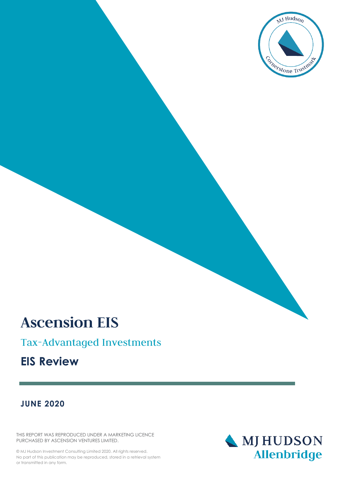

# **Ascension EIS**

## Tax-Advantaged Investments

## **EIS Review**

## **JUNE 2020**

THIS REPORT WAS REPRODUCED UNDER A MARKETING LICENCE PURCHASED BY ASCENSION VENTURES LIMITED.

© MJ Hudson Investment Consulting Limited 2020. All rights reserved. No part of this publication may be reproduced, stored in a retrieval system or transmitted in any form.

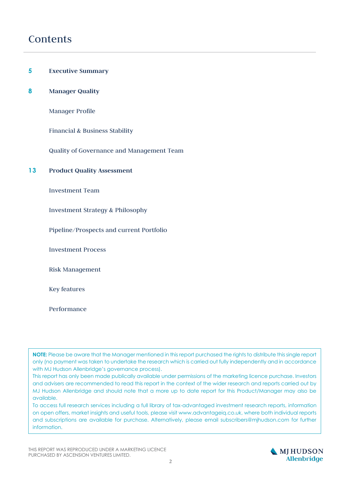## Contents

- **5 Executive Summary**
- **8 Manager Quality**

Manager Profile

Financial & Business Stability

Quality of Governance and Management Team

#### **13 Product Quality Assessment**

Investment Team

Investment Strategy & Philosophy

Pipeline/Prospects and current Portfolio

Investment Process

Risk Management

Key features

Performance

**NOTE:** Please be aware that the Manager mentioned in this report purchased the rights to distribute this single report only (no payment was taken to undertake the research which is carried out fully independently and in accordance with MJ Hudson Allenbridge's governance process).

This report has only been made publically available under permissions of the marketing licence purchase. Investors and advisers are recommended to read this report in the context of the wider research and reports carried out by MJ Hudson Allenbridge and should note that a more up to date report for this Product/Manager may also be available.

To access full research services including a full library of tax-advantaged investment research reports, information on open offers, market insights and useful tools, please visit www.advantageiq.co.uk, where both individual reports and subscriptions are available for purchase. Alternatively, please email subscribers@mjhudson.com for further information.

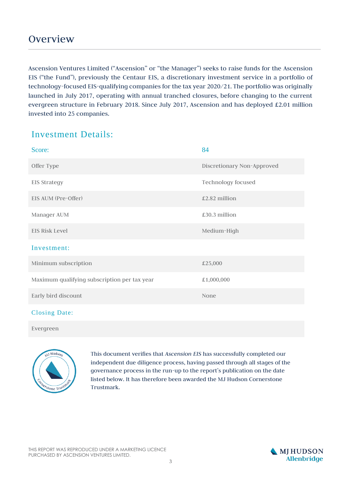Ascension Ventures Limited ("Ascension" or "the Manager") seeks to raise funds for the Ascension EIS ("the Fund"), previously the Centaur EIS, a discretionary investment service in a portfolio of technology-focused EIS-qualifying companies for the tax year 2020/21. The portfolio was originally launched in July 2017, operating with annual tranched closures, before changing to the current evergreen structure in February 2018. Since July 2017, Ascension and has deployed £2.01 million invested into 25 companies.

## Investment Details:

| Score:                                       | 84                         |
|----------------------------------------------|----------------------------|
| Offer Type                                   | Discretionary Non-Approved |
| <b>EIS Strategy</b>                          | <b>Technology focused</b>  |
| EIS AUM (Pre-Offer)                          | £2.82 million              |
| Manager AUM                                  | £30.3 million              |
| <b>EIS Risk Level</b>                        | Medium-High                |
| Investment:                                  |                            |
| Minimum subscription                         | £25,000                    |
| Maximum qualifying subscription per tax year | £1,000,000                 |
| Early bird discount                          | None                       |
| $\alpha$ $\alpha$ $\alpha$                   |                            |

#### Closing Date:

Evergreen



This document verifies that *Ascension EIS* has successfully completed our independent due diligence process, having passed through all stages of the governance process in the run-up to the report's publication on the date listed below. It has therefore been awarded the MJ Hudson Cornerstone Trustmark.

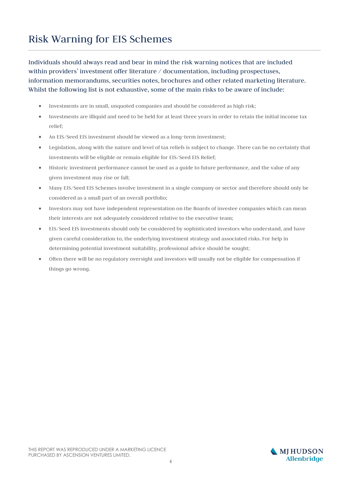## Risk Warning for EIS Schemes

Individuals should always read and bear in mind the risk warning notices that are included within providers' investment offer literature / documentation, including prospectuses, information memorandums, securities notes, brochures and other related marketing literature. Whilst the following list is not exhaustive, some of the main risks to be aware of include:

- Investments are in small, unquoted companies and should be considered as high risk;
- Investments are illiquid and need to be held for at least three years in order to retain the initial income tax relief;
- An EIS/Seed EIS investment should be viewed as a long-term investment;
- Legislation, along with the nature and level of tax reliefs is subject to change. There can be no certainty that investments will be eligible or remain eligible for EIS/Seed EIS Relief;
- Historic investment performance cannot be used as a guide to future performance, and the value of any given investment may rise or fall;
- Many EIS/Seed EIS Schemes involve investment in a single company or sector and therefore should only be considered as a small part of an overall portfolio;
- Investors may not have independent representation on the Boards of investee companies which can mean their interests are not adequately considered relative to the executive team;
- EIS/Seed EIS investments should only be considered by sophisticated investors who understand, and have given careful consideration to, the underlying investment strategy and associated risks. For help in determining potential investment suitability, professional advice should be sought;
- Often there will be no regulatory oversight and investors will usually not be eligible for compensation if things go wrong.

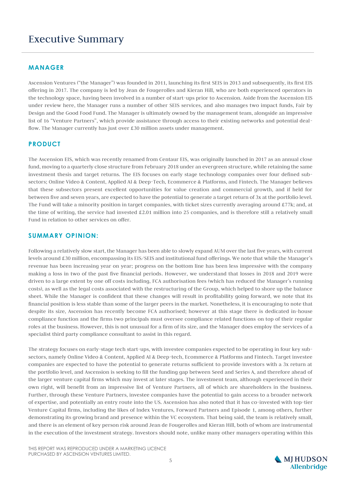## Executive Summary

#### **MANAGER**

Ascension Ventures ("the Manager") was founded in 2011, launching its first SEIS in 2013 and subsequently, its first EIS offering in 2017. The company is led by Jean de Fougerolles and Kieran Hill, who are both experienced operators in the technology space, having been involved in a number of start-ups prior to Ascension. Aside from the Ascension EIS under review here, the Manager runs a number of other SEIS services, and also manages two impact funds, Fair by Design and the Good Food Fund. The Manager is ultimately owned by the management team, alongside an impressive list of 16 "Venture Partners", which provide assistance through access to their existing networks and potential dealflow. The Manager currently has just over £30 million assets under management.

#### **PRODUCT**

The Ascension EIS, which was recently renamed from Centaur EIS, was originally launched in 2017 as an annual close fund, moving to a quarterly close structure from February 2018 under an evergreen structure, while retaining the same investment thesis and target returns. The EIS focuses on early stage technology companies over four defined subsectors; Online Video & Content, Applied AI & Deep-Tech, Ecommerce & Platforms, and Fintech. The Manager believes that these subsectors present excellent opportunities for value creation and commercial growth, and if held for between five and seven years, are expected to have the potential to generate a target return of 3x at the portfolio level. The Fund will take a minority position in target companies, with ticket sizes currently averaging around £77k; and, at the time of writing, the service had invested £2.01 million into 25 companies, and is therefore still a relatively small Fund in relation to other services on offer.

#### **SUMMARY OPINION:**

Following a relatively slow start, the Manager has been able to slowly expand AUM over the last five years, with current levels around £30 million, encompassing its EIS/SEIS and institutional fund offerings. We note that while the Manager's revenue has been increasing year on year; progress on the bottom line has been less impressive with the company making a loss in two of the past five financial periods. However, we understand that losses in 2018 and 2019 were driven to a large extent by one off costs including, FCA authorisation fees (which has reduced the Manager's running costs), as well as the legal costs associated with the restructuring of the Group, which helped to shore up the balance sheet. While the Manager is confident that these changes will result in profitability going forward, we note that its financial position is less stable than some of the larger peers in the market. Nonetheless, it is encouraging to note that despite its size, Ascension has recently become FCA authorised; however at this stage there is dedicated in-house compliance function and the firms two principals must oversee compliance related functions on top of their regular roles at the business. However, this is not unusual for a firm of its size, and the Manager does employ the services of a specialist third party compliance consultant to assist in this regard.

The strategy focuses on early-stage tech start-ups, with investee companies expected to be operating in four key subsectors, namely Online Video & Content, Applied AI & Deep-tech, Ecommerce & Platforms and Fintech. Target investee companies are expected to have the potential to generate returns sufficient to provide investors with a 3x return at the portfolio level, and Ascension is seeking to fill the funding gap between Seed and Series A, and therefore ahead of the larger venture capital firms which may invest at later stages. The investment team, although experienced in their own right, will benefit from an impressive list of Venture Partners, all of which are shareholders in the business. Further, through these Venture Partners, investee companies have the potential to gain access to a broader network of expertise, and potentially an entry route into the US. Ascension has also noted that it has co-invested with top-tier Venture Capital firms, including the likes of Index Ventures, Forward Partners and Episode 1, among others, further demonstrating its growing brand and presence within the VC ecosystem. That being said, the team is relatively small, and there is an element of key person risk around Jean de Fougerolles and Kieran Hill, both of whom are instrumental in the execution of the investment strategy. Investors should note, unlike many other managers operating within this

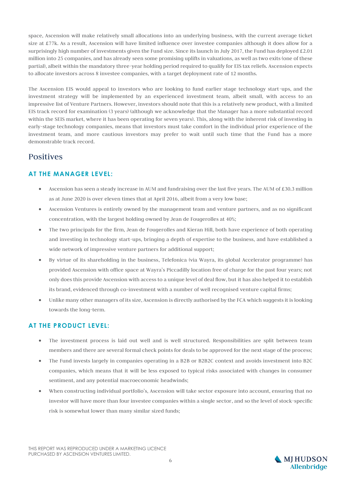space, Ascension will make relatively small allocations into an underlying business, with the current average ticket size at £77k. As a result, Ascension will have limited influence over investee companies although it does allow for a surprisingly high number of investments given the Fund size. Since its launch in July 2017, the Fund has deployed £2.01 million into 25 companies, and has already seen some promising uplifts in valuations, as well as two exits (one of these partial), albeit within the mandatory three-year holding period required to qualify for EIS tax reliefs. Ascension expects to allocate investors across 8 investee companies, with a target deployment rate of 12 months.

The Ascension EIS would appeal to investors who are looking to fund earlier stage technology start-ups, and the investment strategy will be implemented by an experienced investment team, albeit small, with access to an impressive list of Venture Partners. However, investors should note that this is a relatively new product, with a limited EIS track record for examination (3 years) (although we acknowledge that the Manager has a more substantial record within the SEIS market, where it has been operating for seven years). This, along with the inherent risk of investing in early-stage technology companies, means that investors must take comfort in the individual prior experience of the investment team, and more cautious investors may prefer to wait until such time that the Fund has a more demonstrable track record.

### Positives

#### **AT THE MANAGER LEVEL:**

- Ascension has seen a steady increase in AUM and fundraising over the last five years. The AUM of £30.3 million as at June 2020 is over eleven times that at April 2016, albeit from a very low base;
- Ascension Ventures is entirely owned by the management team and venture partners, and as no significant concentration, with the largest holding owned by Jean de Fougerolles at 40%;
- The two principals for the firm, Jean de Fougerolles and Kieran Hill, both have experience of both operating and investing in technology start-ups, bringing a depth of expertise to the business, and have established a wide network of impressive venture partners for additional support;
- By virtue of its shareholding in the business, Telefonica (via Wayra, its global Accelerator programme) has provided Ascension with office space at Wayra's Piccadilly location free of charge for the past four years; not only does this provide Ascension with access to a unique level of deal flow, but it has also helped it to establish its brand, evidenced through co-investment with a number of well recognised venture capital firms;
- Unlike many other managers of its size, Ascension is directly authorised by the FCA which suggests it is looking towards the long-term.

#### **AT THE PRODUCT LEVEL:**

- The investment process is laid out well and is well structured. Responsibilities are split between team members and there are several formal check points for deals to be approved for the next stage of the process;
- The Fund invests largely in companies operating in a B2B or B2B2C context and avoids investment into B2C companies, which means that it will be less exposed to typical risks associated with changes in consumer sentiment, and any potential macroeconomic headwinds;
- When constructing individual portfolio's, Ascension will take sector exposure into account, ensuring that no investor will have more than four investee companies within a single sector, and so the level of stock-specific risk is somewhat lower than many similar sized funds;

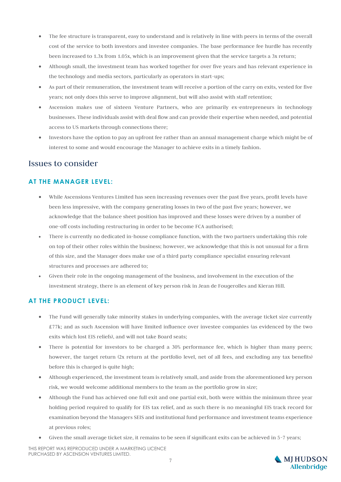- The fee structure is transparent, easy to understand and is relatively in line with peers in terms of the overall cost of the service to both investors and investee companies. The base performance fee hurdle has recently been increased to 1.3x from 1.05x, which is an improvement given that the service targets a 3x return;
- Although small, the investment team has worked together for over five years and has relevant experience in the technology and media sectors, particularly as operators in start-ups;
- As part of their remuneration, the investment team will receive a portion of the carry on exits, vested for five years; not only does this serve to improve alignment, but will also assist with staff retention;
- Ascension makes use of sixteen Venture Partners, who are primarily ex-entrepreneurs in technology businesses. These individuals assist with deal flow and can provide their expertise when needed, and potential access to US markets through connections there;
- Investors have the option to pay an upfront fee rather than an annual management charge which might be of interest to some and would encourage the Manager to achieve exits in a timely fashion.

#### Issues to consider

#### **AT THE MANAGER LEVEL:**

- While Ascensions Ventures Limited has seen increasing revenues over the past five years, profit levels have been less impressive, with the company generating losses in two of the past five years; however, we acknowledge that the balance sheet position has improved and these losses were driven by a number of one-off costs including restructuring in order to be become FCA authorised;
- There is currently no dedicated in-house compliance function, with the two partners undertaking this role on top of their other roles within the business; however, we acknowledge that this is not unusual for a firm of this size, and the Manager does make use of a third party compliance specialist ensuring relevant structures and processes are adhered to;
- Given their role in the ongoing management of the business, and involvement in the execution of the investment strategy, there is an element of key person risk in Jean de Fougerolles and Kieran Hill.

#### **AT THE PRODUCT LEVEL:**

- The Fund will generally take minority stakes in underlying companies, with the average ticket size currently £77k; and as such Ascension will have limited influence over investee companies (as evidenced by the two exits which lost EIS reliefs), and will not take Board seats;
- There is potential for investors to be charged a 30% performance fee, which is higher than many peers; however, the target return (2x return at the portfolio level, net of all fees, and excluding any tax benefits) before this is charged is quite high;
- Although experienced, the investment team is relatively small, and aside from the aforementioned key person risk, we would welcome additional members to the team as the portfolio grow in size;
- Although the Fund has achieved one full exit and one partial exit, both were within the minimum three year holding period required to qualify for EIS tax relief, and as such there is no meaningful EIS track record for examination beyond the Managers SEIS and institutional fund performance and investment teams experience at previous roles;
- Given the small average ticket size, it remains to be seen if significant exits can be achieved in 5-7 years;

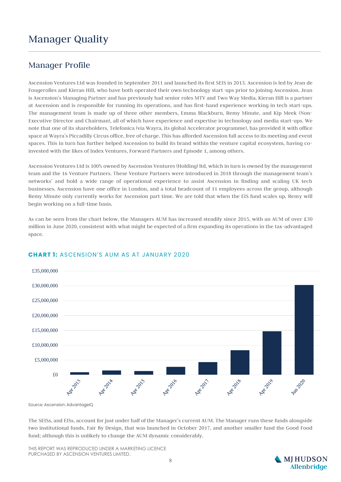## Manager Quality

### Manager Profile

Ascension Ventures Ltd was founded in September 2011 and launched its first SEIS in 2013. Ascension is led by Jean de Fougerolles and Kieran Hill, who have both operated their own technology start-ups prior to joining Ascension. Jean is Ascension's Managing Partner and has previously had senior roles MTV and Two Way Media. Kieran Hill is a partner at Ascension and is responsible for running its operations, and has first-hand experience working in tech start-ups. The management team is made up of three other members, Emma Blackburn, Remy Minute, and Kip Meek (Non-Executive Director and Chairman), all of which have experience and expertise in technology and media start-ups. We note that one of its shareholders, Telefonica (via Wayra, its global Accelerator programme), has provided it with office space at Wayra's Piccadilly Circus office, free of charge. This has afforded Ascension full access to its meeting and event spaces. This in turn has further helped Ascension to build its brand within the venture capital ecosystem, having coinvested with the likes of Index Ventures, Forward Partners and Episode 1, among others.

Ascension Ventures Ltd is 100% owned by Ascension Ventures (Holding) ltd, which in turn is owned by the management team and the 16 Venture Partners. These Venture Partners were introduced in 2018 through the management team's networks' and hold a wide range of operational experience to assist Ascension in finding and scaling UK tech businesses. Ascension have one office in London, and a total headcount of 11 employees across the group, although Remy Minute only currently works for Ascension part time. We are told that when the EIS fund scales up, Remy will begin working on a full-time basis.

As can be seen from the chart below, the Managers AUM has increased steadily since 2015, with an AUM of over £30 million in June 2020, consistent with what might be expected of a firm expanding its operations in the tax-advantaged space.



#### **CHART 1: ASCENSION'S AUM AS AT JANUARY 2020**

Source: Ascension: AdvantageIQ

The SEISs, and EISs, account for just under half of the Manager's current AUM. The Manager runs these funds alongside two institutional funds, Fair By Design, that was launched in October 2017, and another smaller fund the Good Food fund; although this is unlikely to change the AUM dynamic considerably.

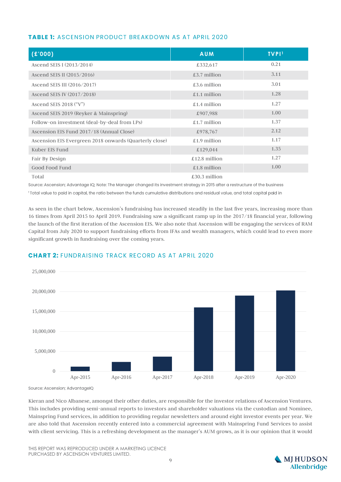#### **TABLE 1: ASCENSION PRODUCT BREAKDOWN AS AT APRIL 2020**

| (E'000)                                                | <b>AUM</b>     | <b>TVPI1</b> |
|--------------------------------------------------------|----------------|--------------|
| Ascend SEIS I (2013/2014)                              | £332,617       | 0.21         |
| Ascend SEIS II (2015/2016)                             | £3.7 million   | 3.11         |
| Ascend SEIS III (2016/2017)                            | £3.6 million   | 3.01         |
| Ascend SEIS IV (2017/2018)                             | £1.1 million   | 1.28         |
| Ascend SEIS 2018 $($ "V" $)$                           | £1.4 million   | 1.27         |
| Ascend SEIS 2019 (Reyker & Mainspring)                 | £907,988       | 1.00         |
| Follow-on investment (deal-by-deal from LPs)           | £1.7 million   | 1.37         |
| Ascension EIS Fund 2017/18 (Annual Close)              | £978,767       | 2.12         |
| Ascension EIS Evergreen 2018 onwards (Quarterly close) | £1.9 million   | 1.17         |
| Kuber EIS Fund                                         | £129,044       | 1.35         |
| Fair By Design                                         | £12.8 million  | 1.27         |
| Good Food Fund                                         | $£1.8$ million | 1.00         |
| Total                                                  | £30.3 million  |              |

Source: Ascension; Advantage IQ; Note: The Manager changed its investment strategy in 2015 after a restructure of the business <sup>1</sup> Total value to paid in capital, the ratio between the funds cumulative distributions and residual value, and total capital paid in

As seen in the chart below, Ascension's fundraising has increased steadily in the last five years, increasing more than 16 times from April 2015 to April 2019. Fundraising saw a significant ramp up in the 2017/18 financial year, following the launch of the first iteration of the Ascension EIS. We also note that Ascension will be engaging the services of RAM Capital from July 2020 to support fundraising efforts from IFAs and wealth managers, which could lead to even more significant growth in fundraising over the coming years.

#### **CHART 2: FUNDRAISING TRACK RECORD AS AT APRIL 2020**



Source: Ascension; AdvantageIQ

Kieran and Nico Albanese, amongst their other duties, are responsible for the investor relations of Ascension Ventures. This includes providing semi-annual reports to investors and shareholder valuations via the custodian and Nominee, Mainspring Fund services, in addition to providing regular newsletters and around eight investor events per year. We are also told that Ascension recently entered into a commercial agreement with Mainspring Fund Services to assist with client servicing. This is a refreshing development as the manager's AUM grows, as it is our opinion that it would

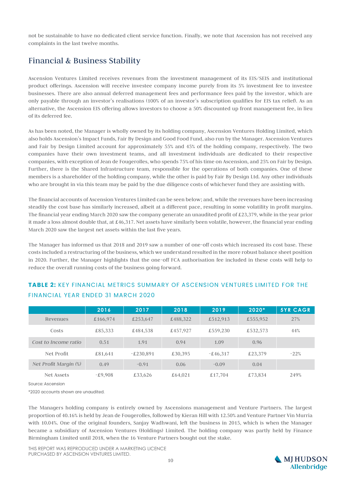not be sustainable to have no dedicated client service function. Finally, we note that Ascension has not received any complaints in the last twelve months.

## Financial & Business Stability

Ascension Ventures Limited receives revenues from the investment management of its EIS/SEIS and institutional product offerings. Ascension will receive investee company income purely from its 5% investment fee to investee businesses. There are also annual deferred management fees and performance fees paid by the investor, which are only payable through an investor's realisations (100% of an investor's subscription qualifies for EIS tax relief). As an alternative, the Ascension EIS offering allows investors to choose a 50% discounted up front management fee, in lieu of its deferred fee.

As has been noted, the Manager is wholly owned by its holding company, Ascension Ventures Holding Limited, which also holds Ascension's Impact Funds, Fair By Design and Good Food Fund, also run by the Manager. Ascension Ventures and Fair by Design Limited account for approximately 55% and 45% of the holding company, respectively. The two companies have their own investment teams, and all investment individuals are dedicated to their respective companies, with exception of Jean de Fougerolles, who spends 75% of his time on Ascension, and 25% on Fair by Design. Further, there is the Shared Infrastructure team, responsible for the operations of both companies. One of these members is a shareholder of the holding company, while the other is paid by Fair By Design Ltd. Any other individuals who are brought in via this team may be paid by the due diligence costs of whichever fund they are assisting with.

The financial accounts of Ascension Ventures Limited can be seen below; and, while the revenues have been increasing steadily the cost base has similarly increased, albeit at a different pace, resulting in some volatility in profit margins. The financial year ending March 2020 saw the company generate an unaudited profit of £23,379, while in the year prior it made a loss almost double that, at £46,317. Net assets have similarly been volatile, however, the financial year ending March 2020 saw the largest net assets within the last five years.

The Manager has informed us that 2018 and 2019 saw a number of one-off costs which increased its cost base. These costs included a restructuring of the business, which we understand resulted in the more robust balance sheet position in 2020. Further, the Manager highlights that the one-off FCA authorisation fee included in these costs will help to reduce the overall running costs of the business going forward.

|                       | 2016      | 2017        | 2018     | 2019       | $2020*$  | <b>5YR CAGR</b> |
|-----------------------|-----------|-------------|----------|------------|----------|-----------------|
| Revenues              | £166,974  | £253,647    | £488,322 | £512,913   | £555,952 | 27%             |
| Costs                 | £85,333   | £484,538    | £457,927 | £559,230   | £532,573 | 44%             |
| Cost to Income ratio  | 0.51      | 1.91        | 0.94     | 1.09       | 0.96     |                 |
| Net Profit            | £81,641   | $-£230.891$ | £30,395  | $-£46.317$ | £23,379  | $-22%$          |
| Net Profit Margin (%) | 0.49      | $-0.91$     | 0.06     | $-0.09$    | 0.04     |                 |
| Net Assets            | $-£9.908$ | £33,626     | £64,021  | £17,704    | £73,834  | 249%            |

#### **TABLE 2: KEY FINANCIAL METRICS SUMMARY OF ASCENSION VENTURES LIMITED FOR THE FINANCIAL YEAR ENDED 31 MARCH 2020**

Source: Ascension

\*2020 accounts shown are unaudited.

The Managers holding company is entirely owned by Ascensions management and Venture Partners. The largest proportion of 40.16% is held by Jean de Fougerolles, followed by Kieran Hill with 12.50% and Venture Partner Vin Murria with 10.04%. One of the original founders, Sanjay Wadhwani, left the business in 2015, which is when the Manager became a subsidiary of Ascension Ventures (Holdings) Limited. The holding company was partly held by Finance Birmingham Limited until 2018, when the 16 Venture Partners bought out the stake.

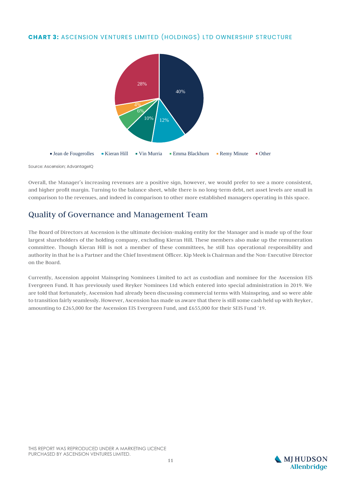#### **CHART 3: ASCENSION VENTURES LIMITED (HOLDINGS) LTD OWNERSHIP STRUCTURE**



Source: Ascension; AdvantageIQ

Overall, the Manager's increasing revenues are a positive sign, however, we would prefer to see a more consistent, and higher profit margin. Turning to the balance sheet, while there is no long-term debt, net asset levels are small in comparison to the revenues, and indeed in comparison to other more established managers operating in this space.

### Quality of Governance and Management Team

The Board of Directors at Ascension is the ultimate decision-making entity for the Manager and is made up of the four largest shareholders of the holding company, excluding Kieran Hill. These members also make up the remuneration committee. Though Kieran Hill is not a member of these committees, he still has operational responsibility and authority in that he is a Partner and the Chief Investment Officer. Kip Meek is Chairman and the Non-Executive Director on the Board.

Currently, Ascension appoint Mainspring Nominees Limited to act as custodian and nominee for the Ascension EIS Evergreen Fund. It has previously used Reyker Nominees Ltd which entered into special administration in 2019. We are told that fortunately, Ascension had already been discussing commercial terms with Mainspring, and so were able to transition fairly seamlessly. However, Ascension has made us aware that there is still some cash held up with Reyker, amounting to £265,000 for the Ascension EIS Evergreen Fund, and £655,000 for their SEIS Fund '19.

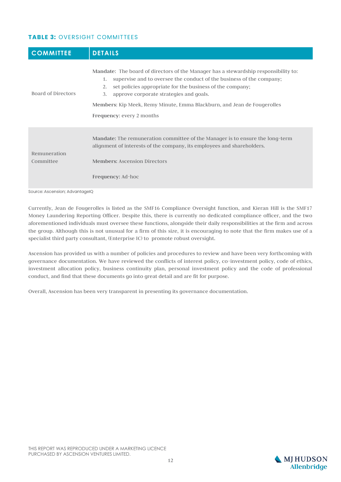#### **TABLE 3: OVERSIGHT COMMITTEES**

| <b>COMMITTEE</b>          | <b>DETAILS</b>                                                                                                                                                                                                                                                                                                                                                                                |
|---------------------------|-----------------------------------------------------------------------------------------------------------------------------------------------------------------------------------------------------------------------------------------------------------------------------------------------------------------------------------------------------------------------------------------------|
| Board of Directors        | Mandate: The board of directors of the Manager has a stewardship responsibility to:<br>supervise and to oversee the conduct of the business of the company;<br>1.<br>set policies appropriate for the business of the company;<br>2.<br>approve corporate strategies and goals.<br>3.<br>Members: Kip Meek, Remy Minute, Emma Blackburn, and Jean de Fougerolles<br>Frequency: every 2 months |
| Remuneration<br>Committee | <b>Mandate:</b> The remuneration committee of the Manager is to ensure the long-term<br>alignment of interests of the company, its employees and shareholders.<br><b>Members: Ascension Directors</b><br>Frequency: Ad-hoc                                                                                                                                                                    |

Source: Ascension; AdvantageIQ

Currently, Jean de Fougerolles is listed as the SMF16 Compliance Oversight function, and Kieran Hill is the SMF17 Money Laundering Reporting Officer. Despite this, there is currently no dedicated compliance officer, and the two aforementioned individuals must oversee these functions, alongside their daily responsibilities at the firm and across the group. Although this is not unusual for a firm of this size, it is encouraging to note that the firm makes use of a specialist third party consultant, (Enterprise IC) to promote robust oversight.

Ascension has provided us with a number of policies and procedures to review and have been very forthcoming with governance documentation. We have reviewed the conflicts of interest policy, co-investment policy, code of ethics, investment allocation policy, business continuity plan, personal investment policy and the code of professional conduct, and find that these documents go into great detail and are fit for purpose.

Overall, Ascension has been very transparent in presenting its governance documentation.

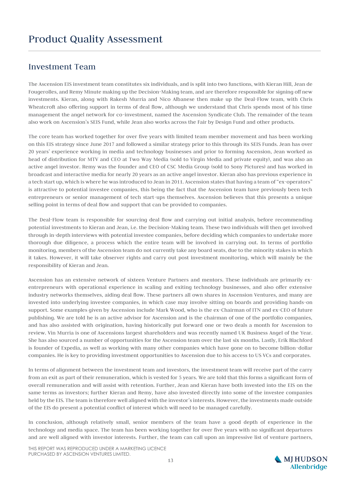### Investment Team

The Ascension EIS investment team constitutes six individuals, and is split into two functions, with Kieran Hill, Jean de Fougerolles, and Remy Minute making up the Decision-Making team, and are therefore responsible for signing off new investments. Kieran, along with Rakesh Murria and Nico Albanese then make up the Deal-Flow team, with Chris Wheatcroft also offering support in terms of deal flow, although we understand that Chris spends most of his time management the angel network for co-investment, named the Ascension Syndicate Club. The remainder of the team also work on Ascension's SEIS Fund, while Jean also works across the Fair by Design Fund and other products.

The core team has worked together for over five years with limited team member movement and has been working on this EIS strategy since June 2017 and followed a similar strategy prior to this through its SEIS Funds. Jean has over 20 years' experience working in media and technology businesses and prior to forming Ascension, Jean worked as head of distribution for MTV and CEO at Two Way Media (sold to Virgin Media and private equity), and was also an active angel investor. Remy was the founder and CEO of CSC Media Group (sold to Sony Pictures) and has worked in broadcast and interactive media for nearly 20 years as an active angel investor. Kieran also has previous experience in a tech start up, which is where he was introduced to Jean in 2011. Ascension states that having a team of "ex-operators" is attractive to potential investee companies, this being the fact that the Ascension team have previously been tech entrepreneurs or senior management of tech start-ups themselves. Ascension believes that this presents a unique selling point in terms of deal flow and support that can be provided to companies.

The Deal-Flow team is responsible for sourcing deal flow and carrying out initial analysis, before recommending potential investments to Kieran and Jean, i.e. the Decision-Making team. These two individuals will then get involved through in-depth interviews with potential investee companies, before deciding which companies to undertake more thorough due diligence, a process which the entire team will be involved in carrying out. In terms of portfolio monitoring, members of the Ascension team do not currently take any board seats, due to the minority stakes in which it takes. However, it will take observer rights and carry out post investment monitoring, which will mainly be the responsibility of Kieran and Jean.

Ascension has an extensive network of sixteen Venture Partners and mentors. These individuals are primarily exentrepreneurs with operational experience in scaling and exiting technology businesses, and also offer extensive industry networks themselves, aiding deal flow. These partners all own shares in Ascension Ventures, and many are invested into underlying investee companies, in which case may involve sitting on boards and providing hands-on support. Some examples given by Ascension include Mark Wood, who is the ex-Chairman of ITN and ex-CEO of future publishing. We are told he is an active advisor for Ascension and is the chairman of one of the portfolio companies, and has also assisted with origination, having historically put forward one or two deals a month for Ascension to review. Vin Murria is one of Ascensions largest shareholders and was recently named UK Business Angel of the Year. She has also sourced a number of opportunities for the Ascension team over the last six months. Lastly, Erik Blachford is founder of Expedia, as well as working with many other companies which have gone on to become billion-dollar companies. He is key to providing investment opportunities to Ascension due to his access to US VCs and corporates.

In terms of alignment between the investment team and investors, the investment team will receive part of the carry from an exit as part of their remuneration, which is vested for 5 years. We are told that this forms a significant form of overall remuneration and will assist with retention. Further, Jean and Kieran have both invested into the EIS on the same terms as investors; further Kieran and Remy, have also invested directly into some of the investee companies held by the EIS. The team is therefore well aligned with the investor's interests. However, the investments made outside of the EIS do present a potential conflict of interest which will need to be managed carefully.

In conclusion, although relatively small, senior members of the team have a good depth of experience in the technology and media space. The team has been working together for over five years with no significant departures and are well aligned with investor interests. Further, the team can call upon an impressive list of venture partners,

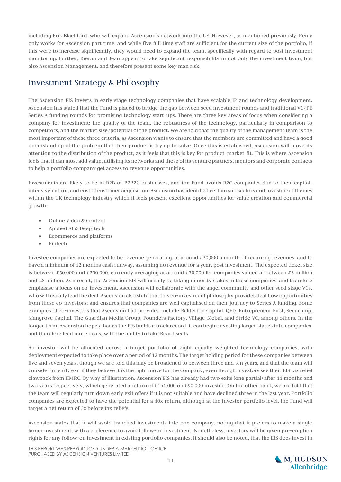including Erik Blachford, who will expand Ascension's network into the US. However, as mentioned previously, Remy only works for Ascension part time, and while five full time staff are sufficient for the current size of the portfolio, if this were to increase significantly, they would need to expand the team, specifically with regard to post investment monitoring. Further, Kieran and Jean appear to take significant responsibility in not only the investment team, but also Ascension Management, and therefore present some key man risk.

## Investment Strategy & Philosophy

The Ascension EIS invests in early stage technology companies that have scalable IP and technology development. Ascension has stated that the Fund is placed to bridge the gap between seed investment rounds and traditional VC/PE Series A funding rounds for promising technology start-ups. There are three key areas of focus when considering a company for investment: the quality of the team, the robustness of the technology, particularly in comparison to competitors, and the market size/potential of the product. We are told that the quality of the management team is the most important of these three criteria, as Ascension wants to ensure that the members are committed and have a good understanding of the problem that their product is trying to solve. Once this is established, Ascension will move its attention to the distribution of the product, as it feels that this is key for product-market-fit. This is where Ascension feels that it can most add value, utilising its networks and those of its venture partners, mentors and corporate contacts to help a portfolio company get access to revenue opportunities.

Investments are likely to be in B2B or B2B2C businesses, and the Fund avoids B2C companies due to their capitalintensive nature, and cost of customer acquisition. Ascension has identified certain sub sectors and investment themes within the UK technology industry which it feels present excellent opportunities for value creation and commercial growth:

- Online Video & Content
- Applied AI & Deep-tech
- Ecommerce and platforms
- Fintech

Investee companies are expected to be revenue generating, at around £30,000 a month of recurring revenues, and to have a minimum of 12 months cash runway, assuming no revenue for a year, post investment. The expected ticket size is between £50,000 and £250,000, currently averaging at around £70,000 for companies valued at between £3 million and £8 million. As a result, the Ascension EIS will usually be taking minority stakes in these companies, and therefore emphasise a focus on co-investment. Ascension will collaborate with the angel community and other seed stage VCs, who will usually lead the deal. Ascension also state that this co-investment philosophy provides deal flow opportunities from these co-investors; and ensures that companies are well capitalised on their journey to Series A funding. Some examples of co-investors that Ascension had provided include Balderton Capital, QED, Entrepreneur First, Seedcamp, Mangrove Capital, The Guardian Media Group, Founders Factory, Village Global, and Stride VC, among others. In the longer term, Ascension hopes that as the EIS builds a track record, it can begin investing larger stakes into companies, and therefore lead more deals, with the ability to take Board seats.

An investor will be allocated across a target portfolio of eight equally weighted technology companies, with deployment expected to take place over a period of 12 months. The target holding period for these companies between five and seven years, though we are told this may be broadened to between three and ten years, and that the team will consider an early exit if they believe it is the right move for the company, even though investors see their EIS tax relief clawback from HMRC. By way of illustration, Ascension EIS has already had two exits (one partial) after 11 months and two years respectively, which generated a return of £151,000 on £90,000 invested. On the other hand, we are told that the team will regularly turn down early exit offers if it is not suitable and have declined three in the last year. Portfolio companies are expected to have the potential for a 10x return, although at the investor portfolio level, the Fund will target a net return of 3x before tax reliefs.

Ascension states that it will avoid tranched investments into one company, noting that it prefers to make a single larger investment, with a preference to avoid follow-on investment. Nonetheless, investors will be given pre-emption rights for any follow-on investment in existing portfolio companies. It should also be noted, that the EIS does invest in

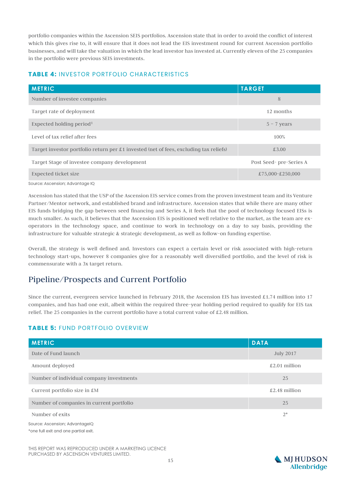portfolio companies within the Ascension SEIS portfolios. Ascension state that in order to avoid the conflict of interest which this gives rise to, it will ensure that it does not lead the EIS investment round for current Ascension portfolio businesses, and will take the valuation in which the lead investor has invested at. Currently eleven of the 25 companies in the portfolio were previous SEIS investments.

#### **TABLE 4: INVESTOR PORTFOLIO CHARACTERISTICS**

| <b>METRIC</b>                                                                                  | <b>TARGET</b>           |
|------------------------------------------------------------------------------------------------|-------------------------|
| Number of investee companies                                                                   | 8                       |
| Target rate of deployment                                                                      | 12 months               |
| Expected holding period <sup>1</sup>                                                           | $5 - 7$ years           |
| Level of tax relief after fees                                                                 | 100%                    |
| Target investor portfolio return per $\pounds$ 1 invested (net of fees, excluding tax reliefs) | £3.00                   |
| Target Stage of investee company development                                                   | Post Seed- pre-Series A |
| Expected ticket size                                                                           | £75,000-£250,000        |
| Source: Ascension; Advantage IQ                                                                |                         |

Ascension has stated that the USP of the Ascension EIS service comes from the proven investment team and its Venture Partner/Mentor network, and established brand and infrastructure. Ascension states that while there are many other EIS funds bridging the gap between seed financing and Series A, it feels that the pool of technology focused EISs is much smaller. As such, it believes that the Ascension EIS is positioned well relative to the market, as the team are exoperators in the technology space, and continue to work in technology on a day to say basis, providing the infrastructure for valuable strategic & strategic development, as well as follow-on funding expertise.

Overall, the strategy is well defined and. Investors can expect a certain level or risk associated with high-return technology start-ups, however 8 companies give for a reasonably well diversified portfolio, and the level of risk is commensurate with a 3x target return.

### Pipeline/Prospects and Current Portfolio

Since the current, evergreen service launched in February 2018, the Ascension EIS has invested £1.74 million into 17 companies, and has had one exit, albeit within the required three-year holding period required to qualify for EIS tax relief. The 25 companies in the current portfolio have a total current value of £2.48 million.

#### **TABLE 5: FUND PORTFOLIO OVERVIEW**

| <b>METRIC</b>                            | <b>DATA</b>      |
|------------------------------------------|------------------|
| Date of Fund launch                      | <b>July 2017</b> |
| Amount deployed                          | $£2.01$ million  |
| Number of individual company investments | 25               |
| Current portfolio size in £M             | $£2.48$ million  |
| Number of companies in current portfolio | 25               |
| Number of exits                          | $2^{*}$          |
| Source: Ascension; AdvantageIQ           |                  |
| *one full exit and one partial exit.     |                  |

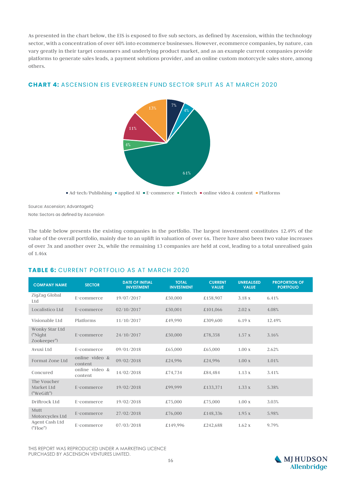As presented in the chart below, the EIS is exposed to five sub sectors, as defined by Ascension, within the technology sector, with a concentration of over 60% into ecommerce businesses. However, ecommerce companies, by nature, can vary greatly in their target consumers and underlying product market, and as an example current companies provide platforms to generate sales leads, a payment solutions provider, and an online custom motorcycle sales store, among others.

#### **CHART 4: ASCENSION EIS EVERGREEN FUND SECTOR SPLIT AS AT MARCH 2020**



Source: Ascension; AdvantageIQ Note: Sectors as defined by Ascension

The table below presents the existing companies in the portfolio. The largest investment constitutes 12.49% of the value of the overall portfolio, mainly due to an uplift in valuation of over 6x. There have also been two value increases of over 3x and another over 2x, while the remaining 13 companies are held at cost, leading to a total unrealised gain of 1.46x

#### **TABLE 6: CURRENT PORTFOLIO AS AT MARCH 2020**

| <b>COMPANY NAME</b>                        | <b>SECTOR</b>             | <b>DATE OF INITIAL</b><br><b>INVESTMENT</b> | <b>TOTAL</b><br><b>INVESTMENT</b> | <b>CURRENT</b><br><b>VALUE</b> | <b>UNREALISED</b><br><b>VALUE</b> | <b>PROPORTION OF</b><br><b>PORTFOLIO</b> |
|--------------------------------------------|---------------------------|---------------------------------------------|-----------------------------------|--------------------------------|-----------------------------------|------------------------------------------|
| ZigZag Global<br>Ltd                       | E-commerce                | 19/07/2017                                  | £50,000                           | £158,907                       | 3.18x                             | 6.41%                                    |
| Localistico Ltd                            | E-commerce                | 02/10/2017                                  | £50,001                           | £101,066                       | 2.02 x                            | 4.08%                                    |
| Visionable Ltd                             | Platforms                 | 11/10/2017                                  | £49,990                           | £309,600                       | 6.19x                             | 12.49%                                   |
| Wonky Star Ltd<br>("Night")<br>Zookeeper") | E-commerce                | 24/10/2017                                  | £50,000                           | £78,358                        | 1.57x                             | 3.16%                                    |
| Avuxi Ltd                                  | E-commerce                | 09/01/2018                                  | £65,000                           | £65,000                        | 1.00x                             | 2.62%                                    |
| Format Zone Ltd                            | online video &<br>content | 09/02/2018                                  | £24,996                           | £24,996                        | 1.00x                             | 1.01%                                    |
| Concured                                   | online video &<br>content | 14/02/2018                                  | £74,734                           | £84,484                        | 1.13x                             | 3.41%                                    |
| The Voucher<br>Market Ltd<br>("WeGift")    | E-commerce                | 19/02/2018                                  | £99,999                           | £133,371                       | 1.33 x                            | 5.38%                                    |
| Driftrock Ltd                              | E-commerce                | 19/02/2018                                  | £75,000                           | £75,000                        | 1.00x                             | 3.03%                                    |
| Mutt<br>Motorcycles Ltd                    | E-commerce                | 27/02/2018                                  | £76,000                           | £148,336                       | 1.95 x                            | 5.98%                                    |
| Agent Cash Ltd<br>("Floe")                 | E-commerce                | 07/03/2018                                  | £149,996                          | £242,688                       | 1.62x                             | 9.79%                                    |

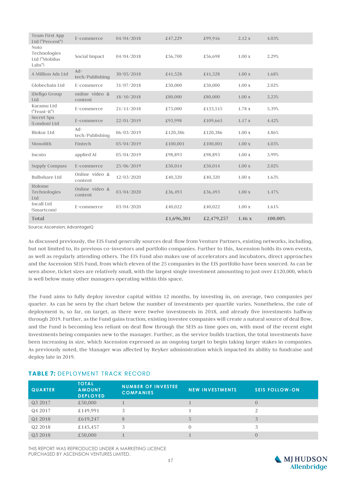| Team First App<br>Ltd ("Percent")                     | E-commerce                | 04/04/2018 | £47,229    | £99,916    | 2.12 x | 4.03%   |
|-------------------------------------------------------|---------------------------|------------|------------|------------|--------|---------|
| <b>Noto</b><br>Technologies<br>Ltd ("Mobilus<br>Labs" | Social Impact             | 04/04/2018 | £56,700    | £56,698    | 1.00x  | 2.29%   |
| A Million Ads Ltd                                     | $Ad-$<br>tech/Publishing  | 30/05/2018 | £41,528    | £41,528    | 1.00x  | 1.68%   |
| Globechain Ltd                                        | E-commerce                | 31/07/2018 | £50,000    | £50,000    | 1.00x  | 2.02%   |
| iDefigo Group<br>Ltd                                  | online video &<br>content | 18/10/2018 | £80,000    | £80,000    | 1.00x  | 3.23%   |
| Karamu Ltd<br>$("Feast-it")$                          | E-commerce                | 21/11/2018 | £75,000    | £133,515   | 1.78 x | 5.39%   |
| Secret Spa<br>(London) Ltd                            | E-commerce                | 22/01/2019 | £93,998    | £109,665   | 1.17x  | 4.42%   |
| <b>Blokur Ltd</b>                                     | $Ad^-$<br>tech/Publishing | 06/03/2019 | £120,386   | £120,386   | 1.00x  | 4.86%   |
| Monolith                                              | Fintech                   | 05/04/2019 | £100,001   | £100,001   | 1.00x  | 4.03%   |
| Incuto                                                | applied AI                | 05/04/2019 | £98,893    | £98,893    | 1.00x  | 3.99%   |
| <b>Supply Compass</b>                                 | E-commerce                | 25/06/2019 | £50,014    | £50,014    | 1.00x  | 2.02%   |
| <b>Bulbshare Ltd</b>                                  | Online video &<br>content | 12/03/2020 | £40,320    | £40,320    | 1.00x  | 1.63%   |
| Holome<br>Technologies<br>Ltd                         | Online video &<br>content | 03/04/2020 | £36,493    | £36,493    | 1.00x  | 1.47%   |
| Incall Ltd<br>(Smartcom)                              | E-commerce                | 03/04/2020 | £40,022    | £40,022    | 1.00x  | 1.61%   |
| <b>Total</b>                                          |                           |            | £1,696,301 | £2,479,257 | 1.46x  | 100.00% |

Source: Ascension: AdvantageIO

As discussed previously, the EIS Fund generally sources deal-flow from Venture Partners, existing networks, including, but not limited to, its previous co-investors and portfolio companies. Further to this, Ascension holds its own events, as well as regularly attending others. The EIS Fund also makes use of accelerators and incubators, direct approaches and the Ascension SEIS Fund, from which eleven of the 25 companies in the EIS portfolio have been sourced. As can be seen above, ticket sizes are relatively small, with the largest single investment amounting to just over £120,000, which is well below many other managers operating within this space.

The Fund aims to fully deploy investor capital within 12 months, by investing in, on average, two companies per quarter. As can be seen by the chart below the number of investments per quartile varies. Nonetheless, the rate of deployment is, so far, on target, as there were twelve investments in 2018, and already five investments halfway through 2019. Further, as the Fund gains traction, existing investee companies will create a natural source of deal flow, and the Fund is becoming less reliant on deal flow through the SEIS as time goes on, with most of the recent eight investments being companies new to the manager. Further, as the service builds traction, the total investments have been increasing in size, which Ascension expressed as an ongoing target to begin taking larger stakes in companies. As previously noted, the Manager was affected by Reyker administration which impacted its ability to fundraise and deploy late in 2019.

#### **TABLE 7: DEPLOYMENT TRACK RECORD**

| <b>QUARTER</b> | <b>TOTAL</b><br><b>AMOUNT</b><br><b>DEPLOYED</b> | <b>NUMBER OF INVESTEE</b><br><b>COMPANIES</b> | <b>NEW INVESTMENTS</b> | <b>SEIS FOLLOW-ON</b> |
|----------------|--------------------------------------------------|-----------------------------------------------|------------------------|-----------------------|
| Q3 2017        | £50,000                                          |                                               |                        | $\left( \right)$      |
| Q4 2017        | £149,991                                         | 3                                             |                        |                       |
| Q1 2018        | £619,247                                         | 8                                             |                        | J                     |
| Q2 2018        | £145,457                                         | 3                                             |                        |                       |
| Q3 2018        | £50,000                                          |                                               |                        |                       |

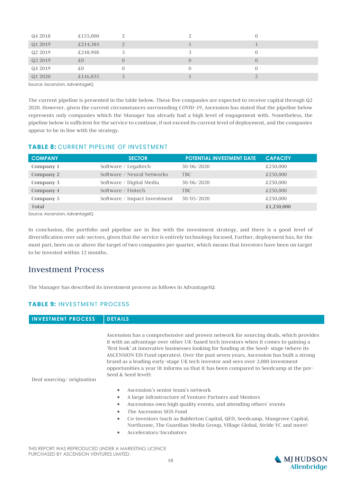| Q4 2018             | £155,000 |                |  |
|---------------------|----------|----------------|--|
| Q1 2019             | £214,384 | $\overline{2}$ |  |
| Q <sub>2</sub> 2019 | £248,908 |                |  |
| Q3 2019             | £0       | $\overline{0}$ |  |
| Q4 2019             | £0       | $\mathbf{0}$   |  |
| Q1 2020             | £116,835 | 3              |  |
| $C_{\alpha}$        |          |                |  |

Source: Ascension; AdvantageIQ

The current pipeline is presented in the table below. These five companies are expected to receive capital through Q2 2020. However, given the current circumstances surrounding COVID-19, Ascension has stated that the pipeline below represents only companies which the Manager has already had a high level of engagement with. Nonetheless, the pipeline below is sufficient for the service to continue, if not exceed its current level of deployment, and the companies appear to be in line with the strategy.

#### **TABLE 8: CURRENT PIPELINE OF INVESTMENT**

| <b>COMPANY</b>                 | <b>SECTOR</b>                | <b>POTENTIAL INVESTMENT DATE</b> | <b>CAPACITY</b> |
|--------------------------------|------------------------------|----------------------------------|-----------------|
| Company 1                      | Software / Legaltech         | 30/06/2020                       | £250,000        |
| Company 2                      | Software / Neural Networks   | TBC.                             | £250,000        |
| Company 3                      | Software / Digital Media     | 30/06/2020                       | £250,000        |
| Company 4                      | Software $\angle$ Fintech    | TBC.                             | £250,000        |
| Company 5                      | Software / Impact Investment | 30/05/2020                       | £250,000        |
| Total                          |                              |                                  | £1,250,000      |
| Cource: Aeconeion: AdvantagolO |                              |                                  |                 |

Source: Ascension; AdvantageIQ

In conclusion, the portfolio and pipeline are in line with the investment strategy, and there is a good level of diversification over sub-sectors, given that the service is entirely technology focused. Further, deployment has, for the most part, been on or above the target of two companies per quarter, which means that investors have been on target to be invested within 12 months.

#### Investment Process

The Manager has described its investment process as follows in AdvantageIQ:

#### **TABLE 9: INVESTMENT PROCESS**

#### **INVESTMENT PROCESS DETAILS**

Ascension has a comprehensive and proven network for sourcing deals, which provides it with an advantage over other UK-based tech investors when it comes to gaining a 'first look' at innovative businesses looking for funding at the Seed+ stage (where its ASCENSION EIS Fund operates). Over the past seven years, Ascension has built a strong brand as a leading early-stage UK tech investor and sees over 2,000 investment opportunities a year (it informs us that it has been compared to Seedcamp at the pre-Seed & Seed level):

Deal sourcing/ origination

- Ascension's senior team's network
- A large infrastructure of Venture Partners and Mentors
- Ascensions own high quality events, and attending others' events
- The Ascension SEIS Fund
- Co-investors (such as Balderton Capital, QED, Seedcamp, Mangrove Capital, Northzone, The Guardian Media Group, Village Global, Stride VC and more)
- Accelerators/Incubators

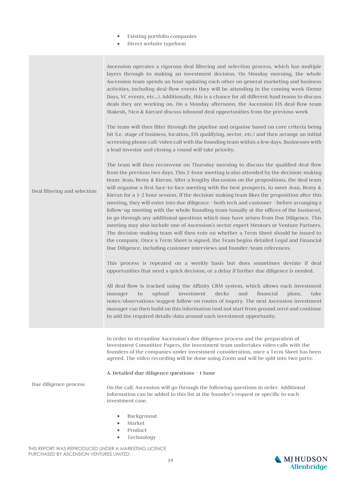- Existing portfolio companies
- Direct website typeform

| Deal filtering and selection | Ascension operates a rigorous deal filtering and selection process, which has multiple<br>layers through to making an investment decision. On Monday morning, the whole<br>Ascension team spends an hour updating each other on general marketing and business<br>activities, including deal-flow events they will be attending in the coming week (Demo<br>Days, VC events, etc). Additionally, this is a chance for all different fund teams to discuss<br>deals they are working on. On a Monday afternoon, the Ascension EIS deal-flow team<br>(Rakesh, Nico & Kieran) discuss inbound deal opportunities from the previous week<br>The team will then filter through the pipeline and organise based on core criteria being<br>hit (i.e. stage of business, location, EIS qualifying, sector, etc.) and then arrange an initial<br>screening phone call/video call with the founding team within a few days. Businesses with<br>a lead investor and closing a round will take priority.<br>The team will then reconvene on Thursday morning to discuss the qualified deal-flow<br>from the previous two days. This 2-hour meeting is also attended by the decision-making<br>team: Jean, Remy & Kieran. After a lengthy discussion on the propositions, the deal team<br>will organise a first face-to-face meeting with the best prospects, to meet Jean, Remy $\&$<br>Kieran for a 1-2 hour session. If the decision-making team likes the proposition after this<br>meeting, they will enter into due diligence - both tech and customer - before arranging a<br>follow-up meeting with the whole founding team (usually at the offices of the business),<br>to go through any additional questions which may have arisen from Due Diligence. This<br>meeting may also include one of Ascension's sector expert Mentors or Venture Partners.<br>The decision-making team will then vote on whether a Term Sheet should be issued to<br>the company. Once a Term Sheet is signed, the Team begins detailed Legal and Financial<br>Due Diligence, including customer interviews and founder/team references.<br>This process is repeated on a weekly basis but does sometimes deviate if deal<br>opportunities that need a quick decision, or a delay if further due diligence is needed.<br>All deal-flow is tracked using the Affinity CRM system, which allows each investment<br>investment<br>decks<br>financial<br>upload<br>and<br>to<br>plans,<br>take<br>manager<br>notes/observations/suggest follow-on routes of inquiry. The next Ascension investment<br>manager can then build on this information (and not start from ground zero) and continue<br>to add the required details/data around each investment opportunity. |
|------------------------------|----------------------------------------------------------------------------------------------------------------------------------------------------------------------------------------------------------------------------------------------------------------------------------------------------------------------------------------------------------------------------------------------------------------------------------------------------------------------------------------------------------------------------------------------------------------------------------------------------------------------------------------------------------------------------------------------------------------------------------------------------------------------------------------------------------------------------------------------------------------------------------------------------------------------------------------------------------------------------------------------------------------------------------------------------------------------------------------------------------------------------------------------------------------------------------------------------------------------------------------------------------------------------------------------------------------------------------------------------------------------------------------------------------------------------------------------------------------------------------------------------------------------------------------------------------------------------------------------------------------------------------------------------------------------------------------------------------------------------------------------------------------------------------------------------------------------------------------------------------------------------------------------------------------------------------------------------------------------------------------------------------------------------------------------------------------------------------------------------------------------------------------------------------------------------------------------------------------------------------------------------------------------------------------------------------------------------------------------------------------------------------------------------------------------------------------------------------------------------------------------------------------------------------------------------------------------------------------------------------------------------------------------------------------------------------------------------------------------------------------------|
| Due diligence process        | In order to streamline Ascension's due diligence process and the preparation of<br>Investment Committee Papers, the investment team undertakes video calls with the<br>founders of the companies under investment consideration, once a Term Sheet has been<br>agreed. The video recording will be done using Zoom and will be split into two parts:<br>A. Detailed due diligence questions - 1 hour<br>On the call, Ascension will go through the following questions in order. Additional<br>information can be added to this list at the founder's request or specific to each<br>investment case.<br>Background<br>۰<br>Market<br>Product<br>۰<br>Technology<br>$\bullet$                                                                                                                                                                                                                                                                                                                                                                                                                                                                                                                                                                                                                                                                                                                                                                                                                                                                                                                                                                                                                                                                                                                                                                                                                                                                                                                                                                                                                                                                                                                                                                                                                                                                                                                                                                                                                                                                                                                                                                                                                                                                |

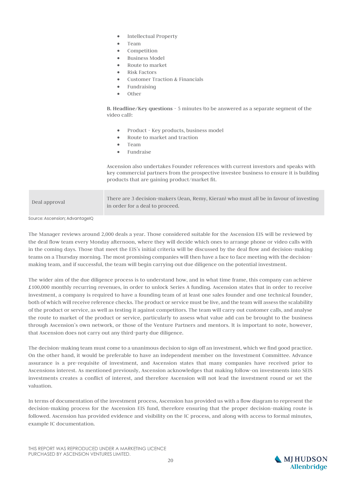- Intellectual Property
- Team
- Competition
- Business Model
- Route to market
- Risk Factors
- Customer Traction & Financials
- **Fundraising**
- Other

**B. Headline/Key questions** - 5 minutes (to be answered as a separate segment of the video call):

- Product Key products, business model
- Route to market and traction
- Team
- Fundraise

Ascension also undertakes Founder references with current investors and speaks with key commercial partners from the prospective investee business to ensure it is building products that are gaining product/market fit.

| Deal approval | There are 3 decision-makers (Jean, Remy, Kieran) who must all be in favour of investing |
|---------------|-----------------------------------------------------------------------------------------|
|               | in order for a deal to proceed.                                                         |

Source: Ascension: AdvantageIQ

The Manager reviews around 2,000 deals a year. Those considered suitable for the Ascension EIS will be reviewed by the deal flow team every Monday afternoon, where they will decide which ones to arrange phone or video calls with in the coming days. Those that meet the EIS's initial criteria will be discussed by the deal flow and decision-making teams on a Thursday morning. The most promising companies will then have a face to face meeting with the decisionmaking team, and if successful, the team will begin carrying out due diligence on the potential investment.

The wider aim of the due diligence process is to understand how, and in what time frame, this company can achieve £100,000 monthly recurring revenues, in order to unlock Series A funding. Ascension states that in order to receive investment, a company is required to have a founding team of at least one sales founder and one technical founder, both of which will receive reference checks. The product or service must be live, and the team will assess the scalability of the product or service, as well as testing it against competitors. The team will carry out customer calls, and analyse the route to market of the product or service, particularly to assess what value add can be brought to the business through Ascension's own network, or those of the Venture Partners and mentors. It is important to note, however, that Ascension does not carry out any third-party due diligence.

The decision-making team must come to a unanimous decision to sign off an investment, which we find good practice. On the other hand, it would be preferable to have an independent member on the Investment Committee. Advance assurance is a pre-requisite of investment, and Ascension states that many companies have received prior to Ascensions interest. As mentioned previously, Ascension acknowledges that making follow-on investments into SEIS investments creates a conflict of interest, and therefore Ascension will not lead the investment round or set the valuation.

In terms of documentation of the investment process, Ascension has provided us with a flow diagram to represent the decision-making process for the Ascension EIS fund, therefore ensuring that the proper decision-making route is followed. Ascension has provided evidence and visibility on the IC process, and along with access to formal minutes, example IC documentation.

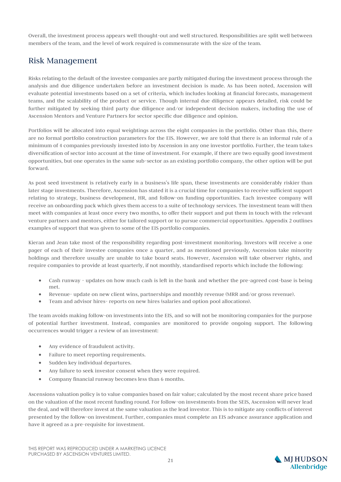Overall, the investment process appears well thought-out and well structured. Responsibilities are split well between members of the team, and the level of work required is commensurate with the size of the team.

### Risk Management

Risks relating to the default of the investee companies are partly mitigated during the investment process through the analysis and due diligence undertaken before an investment decision is made. As has been noted, Ascension will evaluate potential investments based on a set of criteria, which includes looking at financial forecasts, management teams, and the scalability of the product or service. Though internal due diligence appears detailed, risk could be further mitigated by seeking third party due diligence and/or independent decision makers, including the use of Ascension Mentors and Venture Partners for sector specific due diligence and opinion.

Portfolios will be allocated into equal weightings across the eight companies in the portfolio. Other than this, there are no formal portfolio construction parameters for the EIS. However, we are told that there is an informal rule of a minimum of 4 companies previously invested into by Ascension in any one investor portfolio. Further, the team takes diversification of sector into account at the time of investment. For example, if there are two equally good investment opportunities, but one operates in the same sub-sector as an existing portfolio company, the other option will be put forward.

As post seed investment is relatively early in a business's life span, these investments are considerably riskier than later stage investments. Therefore, Ascension has stated it is a crucial time for companies to receive sufficient support relating to strategy, business development, HR, and follow-on funding opportunities. Each investee company will receive an onboarding pack which gives them access to a suite of technology services. The investment team will then meet with companies at least once every two months, to offer their support and put them in touch with the relevant venture partners and mentors, either for tailored support or to pursue commercial opportunities. Appendix 2 outlines examples of support that was given to some of the EIS portfolio companies.

Kieran and Jean take most of the responsibility regarding post-investment monitoring. Investors will receive a one pager of each of their investee companies once a quarter, and as mentioned previously, Ascension take minority holdings and therefore usually are unable to take board seats. However, Ascension will take observer rights, and require companies to provide at least quarterly, if not monthly, standardised reports which include the following:

- Cash runway updates on how much cash is left in the bank and whether the pre-agreed cost-base is being met.
- Revenue- update on new client wins, partnerships and monthly revenue (MRR and/or gross revenue).
- Team and advisor hires- reports on new hires (salaries and option pool allocations).

The team avoids making follow-on investments into the EIS, and so will not be monitoring companies for the purpose of potential further investment. Instead, companies are monitored to provide ongoing support. The following occurrences would trigger a review of an investment:

- Any evidence of fraudulent activity.
- Failure to meet reporting requirements.
- Sudden key individual departures.
- Any failure to seek investor consent when they were required.
- Company financial runway becomes less than 6 months.

Ascensions valuation policy is to value companies based on fair value; calculated by the most recent share price based on the valuation of the most recent funding round. For follow-on investments from the SEIS, Ascension will never lead the deal, and will therefore invest at the same valuation as the lead investor. This is to mitigate any conflicts of interest presented by the follow-on investment. Further, companies must complete an EIS advance assurance application and have it agreed as a pre-requisite for investment.

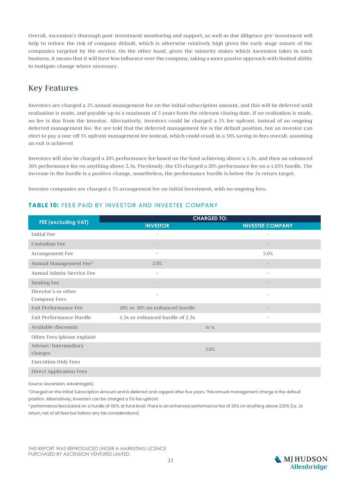Overall, Ascension's thorough post-investment monitoring and support, as well as due diligence pre-investment will help to reduce the risk of company default, which is otherwise relatively high given the early stage nature of the companies targeted by the service. On the other hand, given the minority stakes which Ascension takes in each business, it means that it will have less influence over the company, taking a more passive approach with limited ability to instigate change where necessary.

### Key Features

Investors are charged a 2% annual management fee on the initial subscription amount, and this will be deferred until realisation is made, and payable up to a maximum of 5 years from the relevant closing date. If no realisation is made, no fee is due from the investor. Alternatively, investors could be charged a 5% fee upfront, instead of an ongoing deferred management fee. We are told that the deferred management fee is the default position, but an investor can elect to pay a one-off 5% upfront management fee instead, which could result in a 50% saving in fees overall, assuming an exit is achieved

Investors will also be charged a 20% performance fee based on the fund achieving above a 1.3x, and then an enhanced 30% performance fee on anything above 2.3x. Previously, the EIS charged a 20% performance fee on a 1.05% hurdle. The increase in the hurdle is a positive change, nonetheless, the performance hurdle is below the 3x return target.

Investee companies are charged a 5% arrangement fee on initial investment, with no ongoing fees.

#### **TABLE 10: FFFS PAID BY INVESTOR AND INVESTEE COMPANY**

| <b>FEE (excluding VAT)</b>         | <b>CHARGED TO:</b>              |                          |  |  |
|------------------------------------|---------------------------------|--------------------------|--|--|
|                                    | <b>INVESTOR</b>                 | <b>INVESTEE COMPANY</b>  |  |  |
| <b>Initial Fee</b>                 |                                 |                          |  |  |
| Custodian Fee                      |                                 |                          |  |  |
| Arrangement Fee                    | $\overline{\phantom{a}}$        | 5.0%                     |  |  |
| Annual Management Fee <sup>1</sup> | 2.0%                            |                          |  |  |
| Annual Admin/Service Fee           | ۰                               | ٠                        |  |  |
| Dealing Fee                        |                                 |                          |  |  |
| Director's or other                |                                 |                          |  |  |
| Company Fees                       |                                 |                          |  |  |
| <b>Exit Performance Fee</b>        | 20% or 30% on enhanced hurdle   |                          |  |  |
| <b>Exit Performance Hurdle</b>     | 1.3x or enhanced hurdle of 2.3x | $\overline{\phantom{a}}$ |  |  |
| Available discounts                |                                 | n/a                      |  |  |
| Other Fees (please explain)        |                                 |                          |  |  |
| Adviser/Intermediary               |                                 | 3.0%                     |  |  |
| charges                            |                                 |                          |  |  |
| <b>Execution Only Fees</b>         |                                 |                          |  |  |
| Direct Application Fees            |                                 |                          |  |  |

Source: Ascension; AdvantageIQ

<sup>1</sup>Charged on the Initial Subscription Amount and is deferred and capped after five years. This annual management charge is the default position. Alternatively, investors can be charged a 5% fee upfront.

<sup>2</sup> performance fees based on a hurdle of 130% at fund level. There is an enhanced performance fee of 30% on anything above 230% (i.e. 2x return, net of all fees but before any tax considerations).

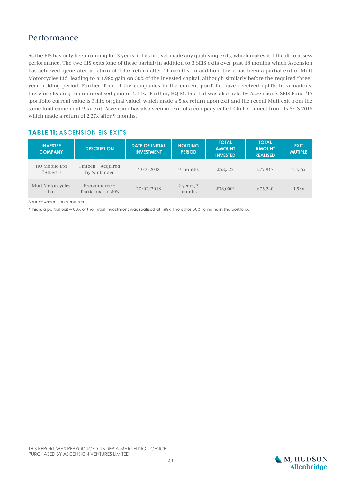### Performance

As the EIS has only been running for 3 years, it has not yet made any qualifying exits, which makes it difficult to assess performance. The two EIS exits (one of these partial) in addition to 3 SEIS exits over past 18 months which Ascension has achieved, generated a return of 1.45x return after 11 months. In addition, there has been a partial exit of Mutt Motorcycles Ltd, leading to a 1.98x gain on 50% of the invested capital, although similarly before the required threeyear holding period. Further, four of the companies in the current portfolio have received uplifts in valuations, therefore leading to an unrealised gain of 1.14x. Further, HQ Mobile Ltd was also held by Ascension's SEIS Fund '15 (portfolio current value is 3.11x original value), which made a 5.6x return upon exit and the recent Mutt exit from the same fund came in at 9.5x exit. Ascension has also seen an exit of a company called Chilli Connect from its SEIS 2018 which made a return of 2.27x after 9 months.

#### **TABLE 11: ASCENSION EIS EXITS**

| <b>INVESTEE</b><br><b>COMPANY</b> | <b>DESCRIPTION</b>                     | <b>DATE OF INITIAL</b><br><b>INVESTMENT</b> | <b>HOLDING</b><br><b>PERIOD</b> | <b>TOTAL</b><br><b>AMOUNT</b><br><b>INVESTED</b> | <b>TOTAL</b><br><b>AMOUNT</b><br><b>REALISED</b> | <b>EXIT</b><br><b>MUTIPLE</b> |
|-----------------------------------|----------------------------------------|---------------------------------------------|---------------------------------|--------------------------------------------------|--------------------------------------------------|-------------------------------|
| HQ Mobile Ltd<br>("Albert")       | Fintech – Acquired<br>by Santander     | 13/3/2018                                   | 9 months                        | £53.522                                          | £77,917                                          | 1.456x                        |
| Mutt Motorcycles<br>Ltd           | $E$ -commerce –<br>Partial exit of 50% | 27/02/2018                                  | 2 years, 3<br>months            | £38,000*                                         | £75,240                                          | 1.98x                         |

Source: Ascension Ventures

\*This is a partial exit - 50% of the initial investment was realised at 1.98x. The other 50% remains in the portfolio.

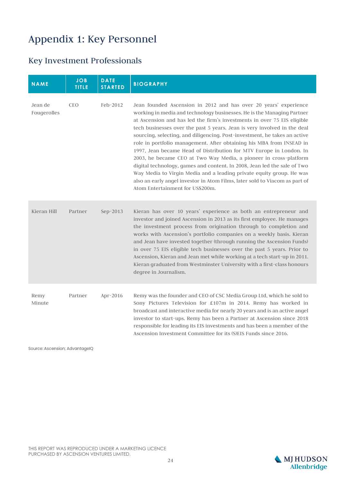## Appendix 1: Key Personnel

## Key Investment Professionals

| <b>NAME</b>            | <b>JOB</b><br><b>TITLE</b> | <b>DATE</b><br><b>STARTED</b> | <b>BIOGRAPHY</b>                                                                                                                                                                                                                                                                                                                                                                                                                                                                                                                                                                                                                                                                                                                                                                                                                                                          |
|------------------------|----------------------------|-------------------------------|---------------------------------------------------------------------------------------------------------------------------------------------------------------------------------------------------------------------------------------------------------------------------------------------------------------------------------------------------------------------------------------------------------------------------------------------------------------------------------------------------------------------------------------------------------------------------------------------------------------------------------------------------------------------------------------------------------------------------------------------------------------------------------------------------------------------------------------------------------------------------|
| Jean de<br>Fougerolles | <b>CEO</b>                 | Feb-2012                      | Jean founded Ascension in 2012 and has over 20 years' experience<br>working in media and technology businesses. He is the Managing Partner<br>at Ascension and has led the firm's investments in over 75 EIS eligible<br>tech businesses over the past 5 years. Jean is very involved in the deal<br>sourcing, selecting, and diligencing. Post-investment, he takes an active<br>role in portfolio management. After obtaining his MBA from INSEAD in<br>1997, Jean became Head of Distribution for MTV Europe in London. In<br>2003, he became CEO at Two Way Media, a pioneer in cross-platform<br>digital technology, games and content. In 2008, Jean led the sale of Two<br>Way Media to Virgin Media and a leading private equity group. He was<br>also an early angel investor in Atom Films, later sold to Viacom as part of<br>Atom Entertainment for US\$200m. |
| Kieran Hill            | Partner                    | Sep-2013                      | Kieran has over 10 years' experience as both an entrepreneur and<br>investor and joined Ascension in 2013 as its first employee. He manages<br>the investment process from origination through to completion and<br>works with Ascension's portfolio companies on a weekly basis. Kieran<br>and Jean have invested together (through running the Ascension Funds)<br>in over 75 EIS eligible tech businesses over the past 5 years. Prior to<br>Ascension, Kieran and Jean met while working at a tech start-up in 2011.<br>Kieran graduated from Westminster University with a first-class honours<br>degree in Journalism.                                                                                                                                                                                                                                              |
| Remy<br>Minute         | Partner                    | Apr-2016                      | Remy was the founder and CEO of CSC Media Group Ltd, which he sold to<br>Sony Pictures Television for £107m in 2014. Remy has worked in<br>broadcast and interactive media for nearly 20 years and is an active angel<br>investor to start-ups. Remy has been a Partner at Ascension since 2018<br>responsible for leading its EIS investments and has been a member of the<br>Ascension Investment Committee for its (S)EIS Funds since 2016.                                                                                                                                                                                                                                                                                                                                                                                                                            |

Source: Ascension; AdvantageIQ

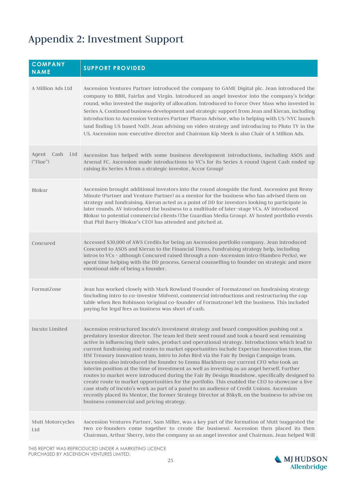## Appendix 2: Investment Support

| <b>COMPANY</b><br><b>NAME</b>    | <b>SUPPORT PROVIDED</b>                                                                                                                                                                                                                                                                                                                                                                                                                                                                                                                                                                                                                                                                                                                                                                                                                                                                                                                                                                                                                                                                                                    |
|----------------------------------|----------------------------------------------------------------------------------------------------------------------------------------------------------------------------------------------------------------------------------------------------------------------------------------------------------------------------------------------------------------------------------------------------------------------------------------------------------------------------------------------------------------------------------------------------------------------------------------------------------------------------------------------------------------------------------------------------------------------------------------------------------------------------------------------------------------------------------------------------------------------------------------------------------------------------------------------------------------------------------------------------------------------------------------------------------------------------------------------------------------------------|
| A Million Ads Ltd                | Ascension Ventures Partner introduced the company to GAME Digital plc. Jean introduced the<br>company to BBH, Fairfax and Virgin. Introduced an angel investor into the company's bridge<br>round, who invested the majority of allocation. Introduced to Force Over Mass who invested in<br>Series A. Continued business development and strategic support from Jean and Kieran, including<br>introduction to Ascension Ventures Partner Pharus Advisor, who is helping with US/NYC launch<br>(and finding US based NxD). Jean advising on video strategy and introducing to Pluto TV in the<br>US. Ascension non-executive director and Chairman Kip Meek is also Chair of A Million Ads.                                                                                                                                                                                                                                                                                                                                                                                                                                |
| Agent<br>Cash<br>Ltd<br>("Floe") | Ascension has helped with some business development introductions, including ASOS and<br>Arsenal FC. Ascension made introductions to VC's for its Series A round (Agent Cash ended up<br>raising its Series A from a strategic investor, Accor Group)                                                                                                                                                                                                                                                                                                                                                                                                                                                                                                                                                                                                                                                                                                                                                                                                                                                                      |
| <b>Blokur</b>                    | Ascension brought additional investors into the round alongside the fund. Ascension put Remy<br>Minute (Partner and Venture Partner) as a mentor for the business who has advised them on<br>strategy and fundraising. Kieran acted as a point of DD for investors looking to participate in<br>later rounds. AV introduced the business to a multitude of later-stage VCs. AV introduced<br>Blokur to potential commercial clients (The Guardian Media Group). AV hosted portfolio events<br>that Phil Barry (Blokur's CEO) has attended and pitched at.                                                                                                                                                                                                                                                                                                                                                                                                                                                                                                                                                                  |
| Concured                         | Accessed \$30,000 of AWS Credits for being an Ascension portfolio company. Jean introduced<br>Concured to ASOS and Kieran to the Financial Times. Fundraising strategy help, including<br>intros to VCs - although Concured raised through a non-Ascension intro (Hambro Perks), we<br>spent time helping with the DD process. General counselling to founder on strategic and more<br>emotional side of being a founder.                                                                                                                                                                                                                                                                                                                                                                                                                                                                                                                                                                                                                                                                                                  |
| FormatZone                       | Jean has worked closely with Mark Rowland (Founder of Formatzone) on fundraising strategy<br>(including intro to co-investor Midven), commercial introductions and restructuring the cap<br>table when Ben Robinson (original co-founder of Formatzone) left the business. This included<br>paying for legal fees as business was short of cash.                                                                                                                                                                                                                                                                                                                                                                                                                                                                                                                                                                                                                                                                                                                                                                           |
| <b>Incuto Limited</b>            | Ascension restructured Incuto's investment strategy and board composition pushing out a<br>predatory investor director. The team led their seed round and took a board seat remaining<br>active in influencing their sales, product and operational strategy. Introductions which lead to<br>current fundraising and routes to market opportunities include Experian Innovation team, the<br>HM Treasury innovation team, intro to John Bird via the Fair By Design Campaign team.<br>Ascension also introduced the founder to Emma Blackburn our current CFO who took an<br>interim position at the time of investment as well as investing as an angel herself. Further<br>routes to market were introduced during the Fair By Design Roadshow, specifically designed to<br>create route to market opportunities for the portfolio. This enabled the CEO to showcase a live<br>case study of Incuto's work as part of a panel to an audience of Credit Unions. Ascension<br>recently placed its Mentor, the former Strategy Director at BSkyB, on the business to advise on<br>business commercial and pricing strategy. |
| Mutt Motorcycles<br>Ltd          | Ascension Ventures Partner, Sam Miller, was a key part of the formation of Mutt (suggested the<br>two co-founders come together to create the business). Ascension then placed its then<br>Chairman, Arthur Sherry, into the company as an angel investor and Chairman. Jean helped Will                                                                                                                                                                                                                                                                                                                                                                                                                                                                                                                                                                                                                                                                                                                                                                                                                                   |

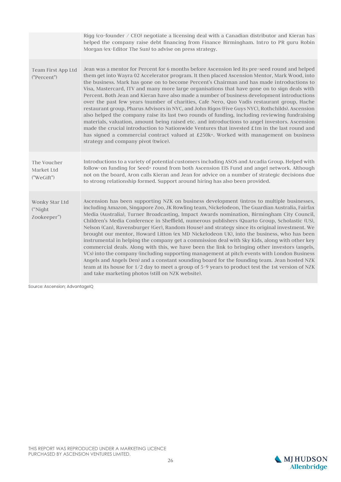|                                          | Rigg (co-founder / CEO) negotiate a licensing deal with a Canadian distributor and Kieran has<br>helped the company raise debt financing from Finance Birmingham. Intro to PR guru Robin<br>Morgan (ex-Editor The Sun) to advise on press strategy.                                                                                                                                                                                                                                                                                                                                                                                                                                                                                                                                                                                                                                                                                                                                                                                                                                                                                                 |
|------------------------------------------|-----------------------------------------------------------------------------------------------------------------------------------------------------------------------------------------------------------------------------------------------------------------------------------------------------------------------------------------------------------------------------------------------------------------------------------------------------------------------------------------------------------------------------------------------------------------------------------------------------------------------------------------------------------------------------------------------------------------------------------------------------------------------------------------------------------------------------------------------------------------------------------------------------------------------------------------------------------------------------------------------------------------------------------------------------------------------------------------------------------------------------------------------------|
| Team First App Ltd<br>("Percent")        | Jean was a mentor for Percent for 6 months before Ascension led its pre-seed round and helped<br>them get into Wayra 02 Accelerator program. It then placed Ascension Mentor, Mark Wood, into<br>the business. Mark has gone on to become Percent's Chairman and has made introductions to<br>Visa, Mastercard, ITV and many more large organisations that have gone on to sign deals with<br>Percent. Both Jean and Kieran have also made a number of business development introductions<br>over the past few years (number of charities, Cafe Nero, Quo Vadis restaurant group, Hache<br>restaurant group, Pharus Advisors in NYC, and John Rigos (Five Guys NYC), Rothchilds). Ascension<br>also helped the company raise its last two rounds of funding, including reviewing fundraising<br>materials, valuation, amount being raised etc. and introductions to angel investors. Ascension<br>made the crucial introduction to Nationwide Ventures that invested £1m in the last round and<br>has signed a commercial contract valued at £250k+. Worked with management on business<br>strategy and company pivot (twice).                      |
| The Voucher<br>Market Ltd<br>("WeGift")  | Introductions to a variety of potential customers including ASOS and Arcadia Group. Helped with<br>follow-on funding for Seed+ round from both Ascension EIS Fund and angel network. Although<br>not on the board, Aron calls Kieran and Jean for advice on a number of strategic decisions due<br>to strong relationship formed. Support around hiring has also been provided.                                                                                                                                                                                                                                                                                                                                                                                                                                                                                                                                                                                                                                                                                                                                                                     |
| Wonky Star Ltd<br>("Night<br>Zookeeper") | Ascension has been supporting NZK on business development (intros to multiple businesses,<br>including Amazon, Singapore Zoo, JK Rowling team, Nickelodeon, The Guardian Australia, Fairfax<br>Media (Australia), Turner Broadcasting, Impact Awards nomination, Birmingham City Council,<br>Children's Media Conference in Sheffield, numerous publishers (Quarto Group, Scholastic (US),<br>Nelson (Can), Ravensburger (Ger), Random House) and strategy since its original investment. We<br>brought our mentor, Howard Litton (ex MD Nickelodeon UK), into the business, who has been<br>instrumental in helping the company get a commission deal with Sky Kids, along with other key<br>commercial deals. Along with this, we have been the link to bringing other investors (angels,<br>VCs) into the company (including supporting management at pitch events with London Business<br>Angels and Angels Den) and a constant sounding board for the founding team. Jean hosted NZK<br>team at its house for 1/2 day to meet a group of 5-9 years to product test the 1st version of NZK<br>and take marketing photos (still on NZK website). |

Source: Ascension; AdvantageIQ